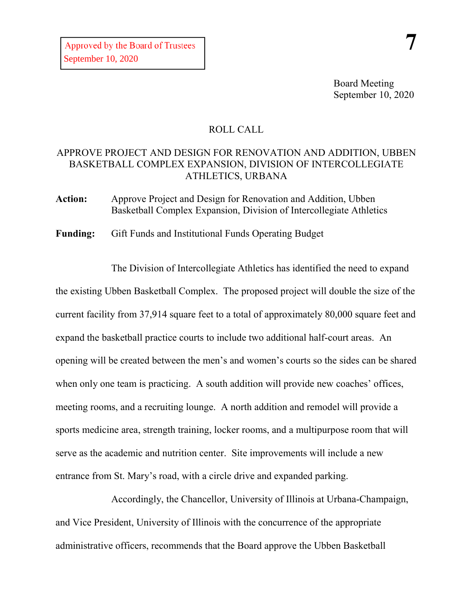Board Meeting September 10, 2020

## ROLL CALL

## APPROVE PROJECT AND DESIGN FOR RENOVATION AND ADDITION, UBBEN BASKETBALL COMPLEX EXPANSION, DIVISION OF INTERCOLLEGIATE ATHLETICS, URBANA

**Action:** Approve Project and Design for Renovation and Addition, Ubben Basketball Complex Expansion, Division of Intercollegiate Athletics

**Funding:** Gift Funds and Institutional Funds Operating Budget

The Division of Intercollegiate Athletics has identified the need to expand the existing Ubben Basketball Complex. The proposed project will double the size of the current facility from 37,914 square feet to a total of approximately 80,000 square feet and expand the basketball practice courts to include two additional half-court areas. An opening will be created between the men's and women's courts so the sides can be shared when only one team is practicing. A south addition will provide new coaches' offices, meeting rooms, and a recruiting lounge. A north addition and remodel will provide a sports medicine area, strength training, locker rooms, and a multipurpose room that will serve as the academic and nutrition center. Site improvements will include a new entrance from St. Mary's road, with a circle drive and expanded parking.

Accordingly, the Chancellor, University of Illinois at Urbana-Champaign, and Vice President, University of Illinois with the concurrence of the appropriate administrative officers, recommends that the Board approve the Ubben Basketball